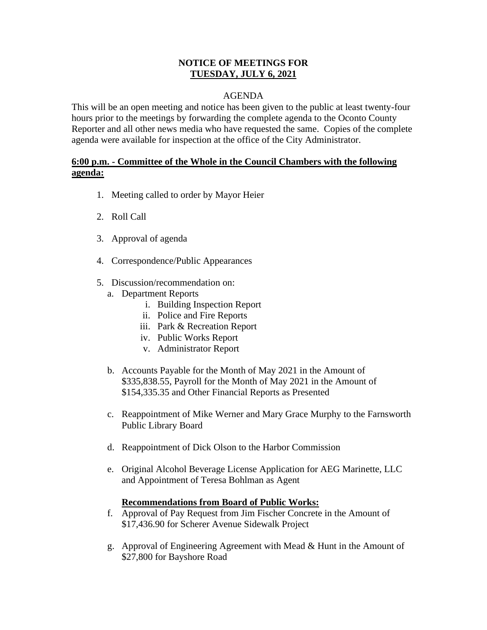### **NOTICE OF MEETINGS FOR TUESDAY, JULY 6, 2021**

## AGENDA

This will be an open meeting and notice has been given to the public at least twenty-four hours prior to the meetings by forwarding the complete agenda to the Oconto County Reporter and all other news media who have requested the same. Copies of the complete agenda were available for inspection at the office of the City Administrator.

# **6:00 p.m. - Committee of the Whole in the Council Chambers with the following agenda:**

- 1. Meeting called to order by Mayor Heier
- 2. Roll Call
- 3. Approval of agenda
- 4. Correspondence/Public Appearances
- 5. Discussion/recommendation on:
	- a. Department Reports
		- i. Building Inspection Report
		- ii. Police and Fire Reports
		- iii. Park & Recreation Report
		- iv. Public Works Report
		- v. Administrator Report
	- b. Accounts Payable for the Month of May 2021 in the Amount of \$335,838.55, Payroll for the Month of May 2021 in the Amount of \$154,335.35 and Other Financial Reports as Presented
	- c. Reappointment of Mike Werner and Mary Grace Murphy to the Farnsworth Public Library Board
	- d. Reappointment of Dick Olson to the Harbor Commission
	- e. Original Alcohol Beverage License Application for AEG Marinette, LLC and Appointment of Teresa Bohlman as Agent

### **Recommendations from Board of Public Works:**

- f. Approval of Pay Request from Jim Fischer Concrete in the Amount of \$17,436.90 for Scherer Avenue Sidewalk Project
- g. Approval of Engineering Agreement with Mead & Hunt in the Amount of \$27,800 for Bayshore Road